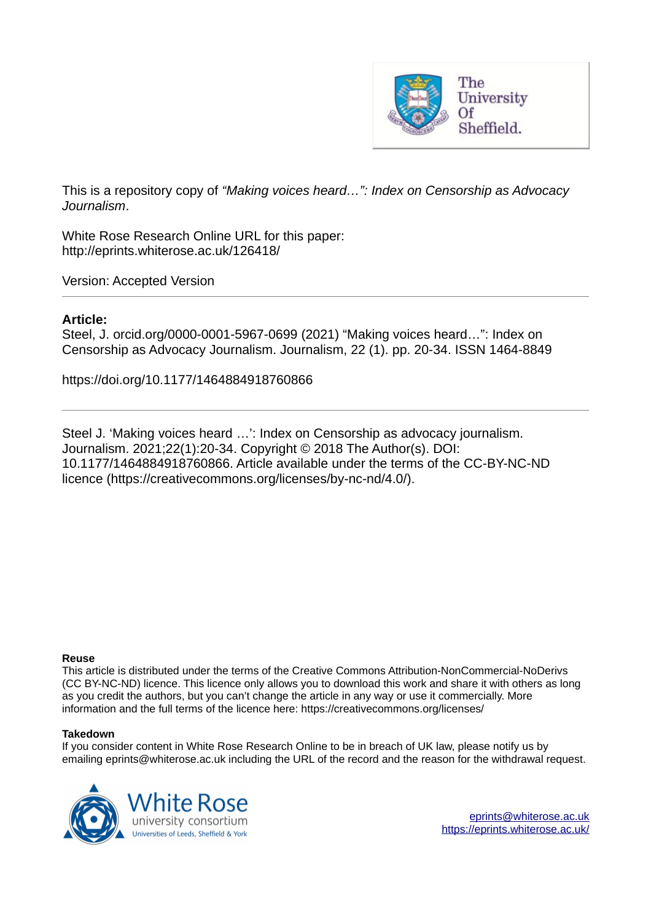

This is a repository copy of *"Making voices heard…": Index on Censorship as Advocacy Journalism*.

White Rose Research Online URL for this paper: http://eprints.whiterose.ac.uk/126418/

Version: Accepted Version

# **Article:**

Steel, J. orcid.org/0000-0001-5967-0699 (2021) "Making voices heard…": Index on Censorship as Advocacy Journalism. Journalism, 22 (1). pp. 20-34. ISSN 1464-8849

https://doi.org/10.1177/1464884918760866

Steel J. 'Making voices heard …': Index on Censorship as advocacy journalism. Journalism. 2021;22(1):20-34. Copyright © 2018 The Author(s). DOI: 10.1177/1464884918760866. Article available under the terms of the CC-BY-NC-ND licence (https://creativecommons.org/licenses/by-nc-nd/4.0/).

#### **Reuse**

This article is distributed under the terms of the Creative Commons Attribution-NonCommercial-NoDerivs (CC BY-NC-ND) licence. This licence only allows you to download this work and share it with others as long as you credit the authors, but you can't change the article in any way or use it commercially. More information and the full terms of the licence here: https://creativecommons.org/licenses/

### **Takedown**

If you consider content in White Rose Research Online to be in breach of UK law, please notify us by emailing eprints@whiterose.ac.uk including the URL of the record and the reason for the withdrawal request.

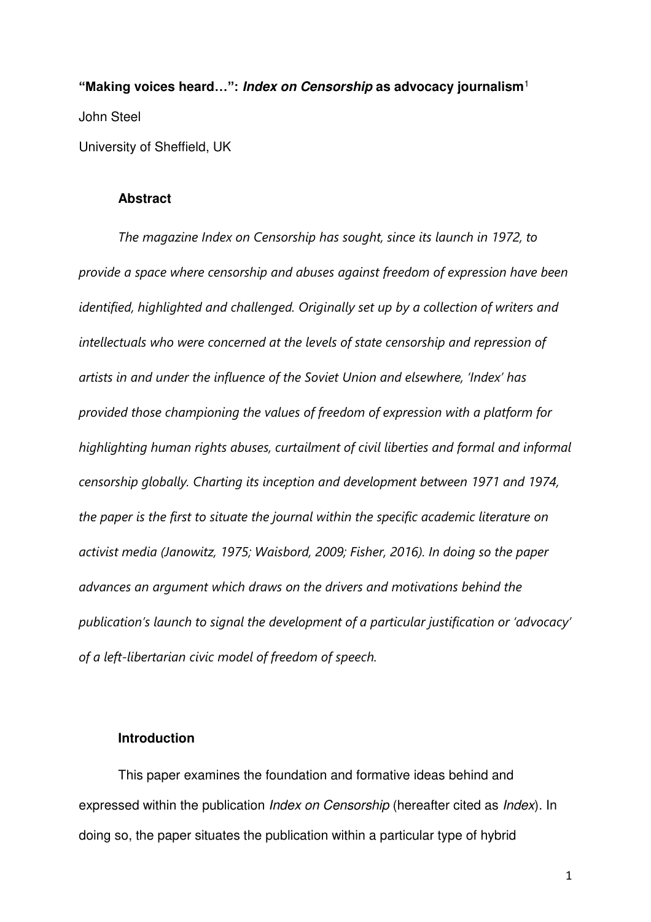**"Making voices heard…": Index on Censorship as advocacy journalism**<sup>1</sup> John Steel University of Sheffield, UK

# **Abstract**

*The magazine Index on Censorship has sought, since its launch in 1972, to provide a space where censorship and abuses against freedom of expression have been identified, highlighted and challenged. Originally set up by a collection of writers and intellectuals who were concerned at the levels of state censorship and repression of artists in and under the influence of the Soviet Union and elsewhere, 'Index' has provided those championing the values of freedom of expression with a platform for highlighting human rights abuses, curtailment of civil liberties and formal and informal censorship globally. Charting its inception and development between 1971 and 1974, the paper is the first to situate the journal within the specific academic literature on activist media (Janowitz, 1975; Waisbord, 2009; Fisher, 2016). In doing so the paper advances an argument which draws on the drivers and motivations behind the publication's launch to signal the development of a particular justification or 'advocacy' of a left-libertarian civic model of freedom of speech.* 

# **Introduction**

This paper examines the foundation and formative ideas behind and expressed within the publication *Index on Censorship* (hereafter cited as *Index*). In doing so, the paper situates the publication within a particular type of hybrid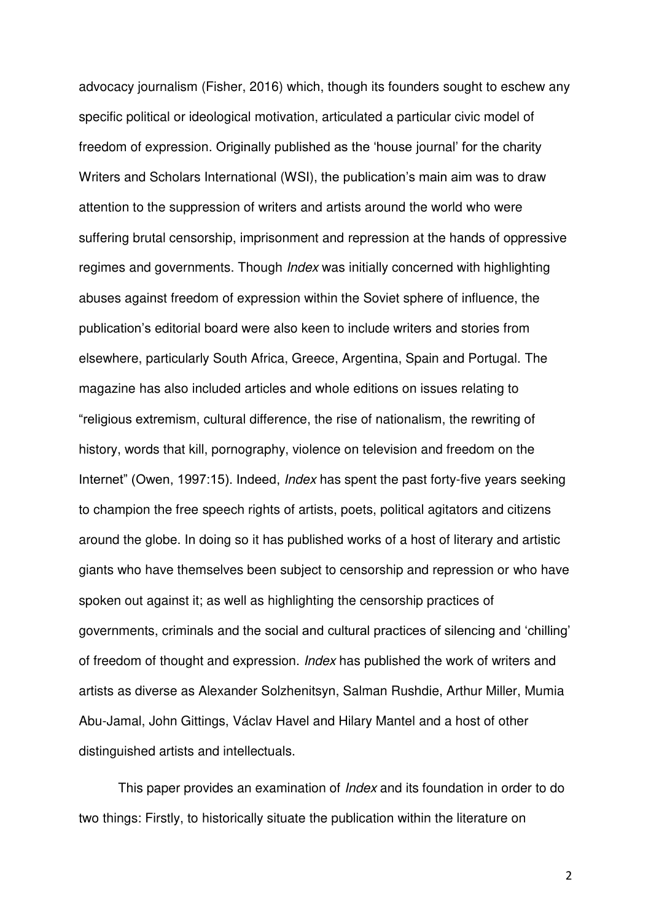advocacy journalism (Fisher, 2016) which, though its founders sought to eschew any specific political or ideological motivation, articulated a particular civic model of freedom of expression. Originally published as the 'house journal' for the charity Writers and Scholars International (WSI), the publication's main aim was to draw attention to the suppression of writers and artists around the world who were suffering brutal censorship, imprisonment and repression at the hands of oppressive regimes and governments. Though *Index* was initially concerned with highlighting abuses against freedom of expression within the Soviet sphere of influence, the publication's editorial board were also keen to include writers and stories from elsewhere, particularly South Africa, Greece, Argentina, Spain and Portugal. The magazine has also included articles and whole editions on issues relating to "religious extremism, cultural difference, the rise of nationalism, the rewriting of history, words that kill, pornography, violence on television and freedom on the Internet" (Owen, 1997:15). Indeed, *Index* has spent the past forty-five years seeking to champion the free speech rights of artists, poets, political agitators and citizens around the globe. In doing so it has published works of a host of literary and artistic giants who have themselves been subject to censorship and repression or who have spoken out against it; as well as highlighting the censorship practices of governments, criminals and the social and cultural practices of silencing and 'chilling' of freedom of thought and expression. *Index* has published the work of writers and artists as diverse as Alexander Solzhenitsyn, Salman Rushdie, Arthur Miller, Mumia Abu-Jamal, John Gittings, Václav Havel and Hilary Mantel and a host of other distinguished artists and intellectuals.

This paper provides an examination of *Index* and its foundation in order to do two things: Firstly, to historically situate the publication within the literature on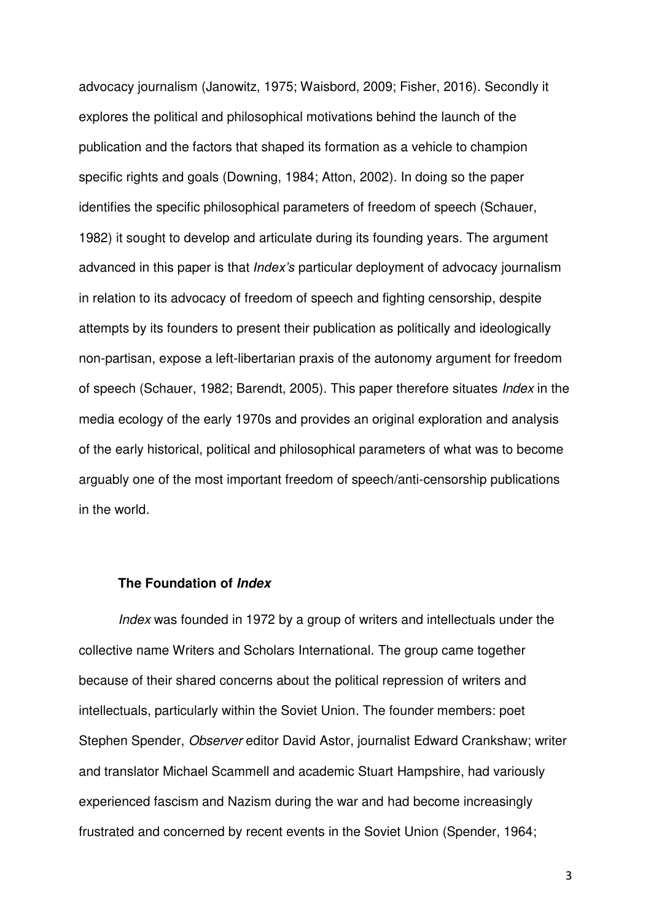advocacy journalism (Janowitz, 1975; Waisbord, 2009; Fisher, 2016). Secondly it explores the political and philosophical motivations behind the launch of the publication and the factors that shaped its formation as a vehicle to champion specific rights and goals (Downing, 1984; Atton, 2002). In doing so the paper identifies the specific philosophical parameters of freedom of speech (Schauer, 1982) it sought to develop and articulate during its founding years. The argument advanced in this paper is that *Index's* particular deployment of advocacy journalism in relation to its advocacy of freedom of speech and fighting censorship, despite attempts by its founders to present their publication as politically and ideologically non-partisan, expose a left-libertarian praxis of the autonomy argument for freedom of speech (Schauer, 1982; Barendt, 2005). This paper therefore situates *Index* in the media ecology of the early 1970s and provides an original exploration and analysis of the early historical, political and philosophical parameters of what was to become arguably one of the most important freedom of speech/anti-censorship publications in the world.

## **The Foundation of Index**

*Index* was founded in 1972 by a group of writers and intellectuals under the collective name Writers and Scholars International. The group came together because of their shared concerns about the political repression of writers and intellectuals, particularly within the Soviet Union. The founder members: poet Stephen Spender, *Observer* editor David Astor, journalist Edward Crankshaw; writer and translator Michael Scammell and academic Stuart Hampshire, had variously experienced fascism and Nazism during the war and had become increasingly frustrated and concerned by recent events in the Soviet Union (Spender, 1964;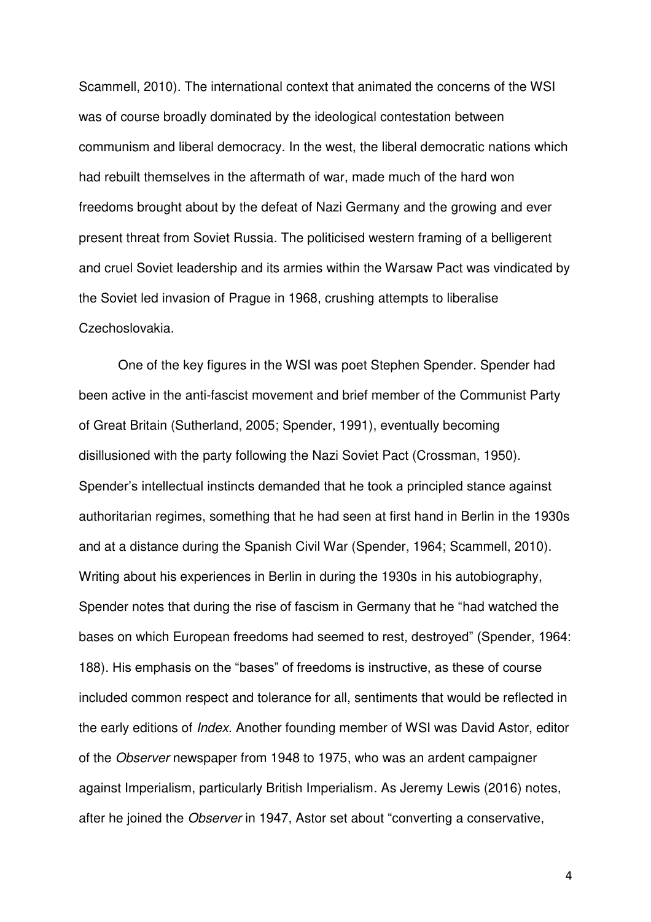Scammell, 2010). The international context that animated the concerns of the WSI was of course broadly dominated by the ideological contestation between communism and liberal democracy. In the west, the liberal democratic nations which had rebuilt themselves in the aftermath of war, made much of the hard won freedoms brought about by the defeat of Nazi Germany and the growing and ever present threat from Soviet Russia. The politicised western framing of a belligerent and cruel Soviet leadership and its armies within the Warsaw Pact was vindicated by the Soviet led invasion of Prague in 1968, crushing attempts to liberalise Czechoslovakia.

One of the key figures in the WSI was poet Stephen Spender. Spender had been active in the anti-fascist movement and brief member of the Communist Party of Great Britain (Sutherland, 2005; Spender, 1991), eventually becoming disillusioned with the party following the Nazi Soviet Pact (Crossman, 1950). Spender's intellectual instincts demanded that he took a principled stance against authoritarian regimes, something that he had seen at first hand in Berlin in the 1930s and at a distance during the Spanish Civil War (Spender, 1964; Scammell, 2010). Writing about his experiences in Berlin in during the 1930s in his autobiography, Spender notes that during the rise of fascism in Germany that he "had watched the bases on which European freedoms had seemed to rest, destroyed" (Spender, 1964: 188). His emphasis on the "bases" of freedoms is instructive, as these of course included common respect and tolerance for all, sentiments that would be reflected in the early editions of *Index*. Another founding member of WSI was David Astor, editor of the *Observer* newspaper from 1948 to 1975, who was an ardent campaigner against Imperialism, particularly British Imperialism. As Jeremy Lewis (2016) notes, after he joined the *Observer* in 1947, Astor set about "converting a conservative,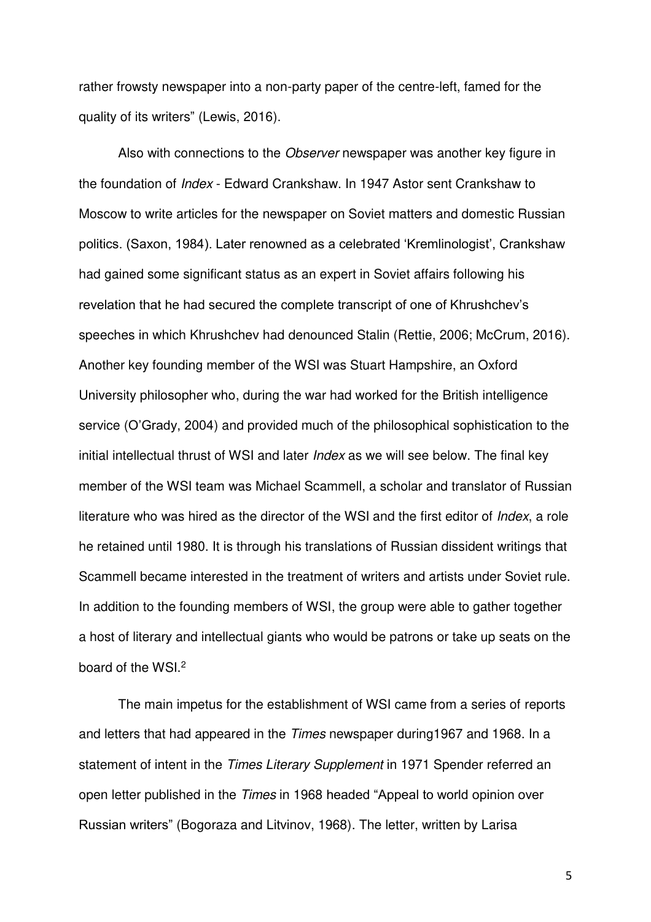rather frowsty newspaper into a non-party paper of the centre-left, famed for the quality of its writers" (Lewis, 2016).

Also with connections to the *Observer* newspaper was another key figure in the foundation of *Index* - Edward Crankshaw. In 1947 Astor sent Crankshaw to Moscow to write articles for the newspaper on Soviet matters and domestic Russian politics. (Saxon, 1984). Later renowned as a celebrated 'Kremlinologist', Crankshaw had gained some significant status as an expert in Soviet affairs following his revelation that he had secured the complete transcript of one of Khrushchev's speeches in which Khrushchev had denounced Stalin (Rettie, 2006; McCrum, 2016). Another key founding member of the WSI was Stuart Hampshire, an Oxford University philosopher who, during the war had worked for the British intelligence service (O'Grady, 2004) and provided much of the philosophical sophistication to the initial intellectual thrust of WSI and later *Index* as we will see below. The final key member of the WSI team was Michael Scammell, a scholar and translator of Russian literature who was hired as the director of the WSI and the first editor of *Index*, a role he retained until 1980. It is through his translations of Russian dissident writings that Scammell became interested in the treatment of writers and artists under Soviet rule. In addition to the founding members of WSI, the group were able to gather together a host of literary and intellectual giants who would be patrons or take up seats on the board of the WSI.<sup>2</sup>

The main impetus for the establishment of WSI came from a series of reports and letters that had appeared in the *Times* newspaper during1967 and 1968. In a statement of intent in the *Times Literary Supplement* in 1971 Spender referred an open letter published in the *Times* in 1968 headed "Appeal to world opinion over Russian writers" (Bogoraza and Litvinov, 1968). The letter, written by Larisa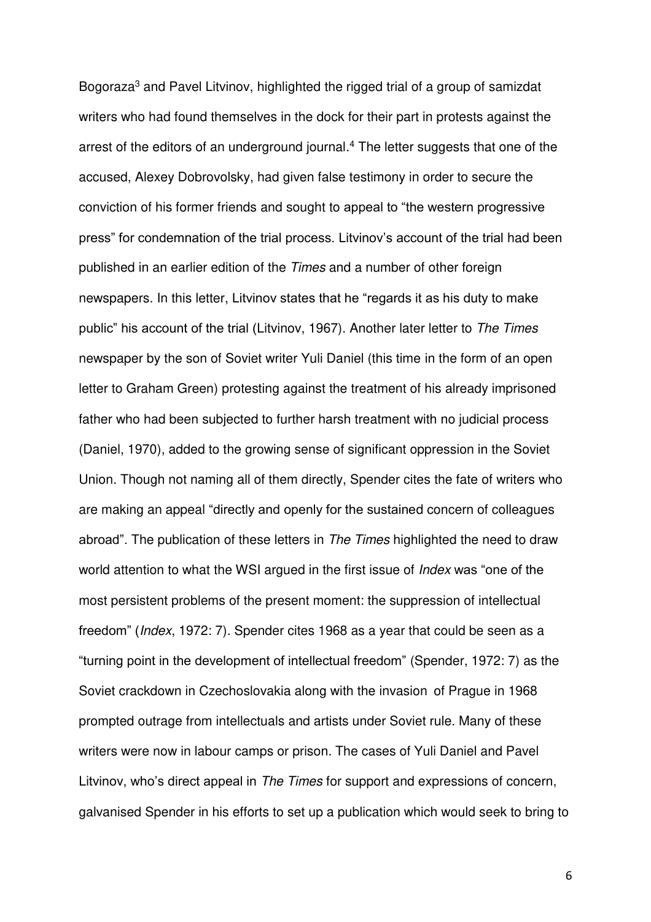Bogoraza<sup>3</sup> and Pavel Litvinov, highlighted the rigged trial of a group of samizdat writers who had found themselves in the dock for their part in protests against the arrest of the editors of an underground journal.<sup>4</sup> The letter suggests that one of the accused, Alexey Dobrovolsky, had given false testimony in order to secure the conviction of his former friends and sought to appeal to "the western progressive press" for condemnation of the trial process. Litvinov's account of the trial had been published in an earlier edition of the *Times* and a number of other foreign newspapers. In this letter, Litvinov states that he "regards it as his duty to make public" his account of the trial (Litvinov, 1967). Another later letter to *The Times* newspaper by the son of Soviet writer Yuli Daniel (this time in the form of an open letter to Graham Green) protesting against the treatment of his already imprisoned father who had been subjected to further harsh treatment with no judicial process (Daniel, 1970), added to the growing sense of significant oppression in the Soviet Union. Though not naming all of them directly, Spender cites the fate of writers who are making an appeal "directly and openly for the sustained concern of colleagues abroad". The publication of these letters in *The Times* highlighted the need to draw world attention to what the WSI argued in the first issue of *Index* was "one of the most persistent problems of the present moment: the suppression of intellectual freedom" (*Index*, 1972: 7). Spender cites 1968 as a year that could be seen as a "turning point in the development of intellectual freedom" (Spender, 1972: 7) as the Soviet crackdown in Czechoslovakia along with the invasion of Prague in 1968 prompted outrage from intellectuals and artists under Soviet rule. Many of these writers were now in labour camps or prison. The cases of Yuli Daniel and Pavel Litvinov, who's direct appeal in *The Times* for support and expressions of concern, galvanised Spender in his efforts to set up a publication which would seek to bring to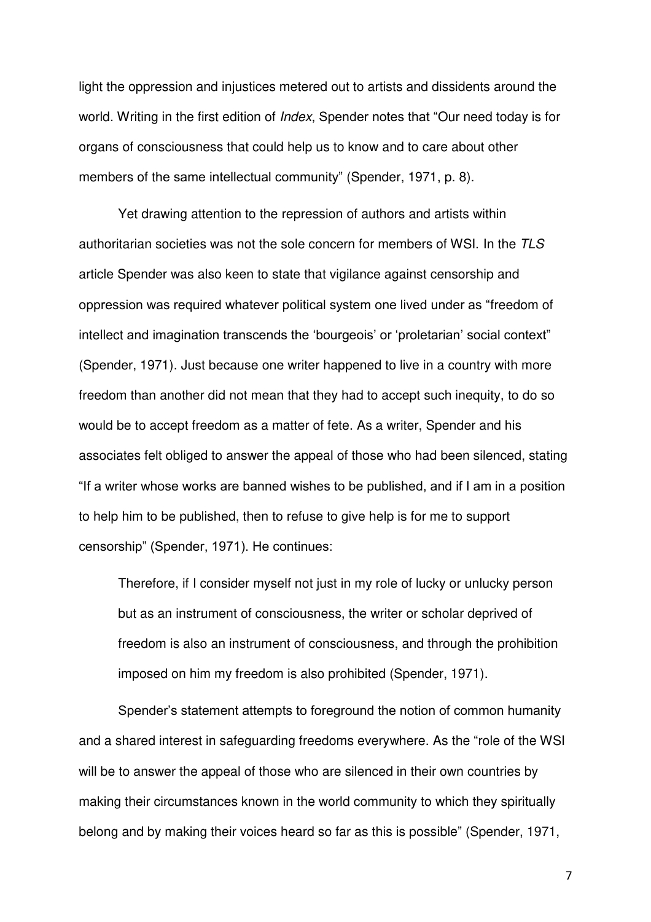light the oppression and injustices metered out to artists and dissidents around the world. Writing in the first edition of *Index*, Spender notes that "Our need today is for organs of consciousness that could help us to know and to care about other members of the same intellectual community" (Spender, 1971, p. 8).

Yet drawing attention to the repression of authors and artists within authoritarian societies was not the sole concern for members of WSI. In the *TLS* article Spender was also keen to state that vigilance against censorship and oppression was required whatever political system one lived under as "freedom of intellect and imagination transcends the 'bourgeois' or 'proletarian' social context" (Spender, 1971). Just because one writer happened to live in a country with more freedom than another did not mean that they had to accept such inequity, to do so would be to accept freedom as a matter of fete. As a writer, Spender and his associates felt obliged to answer the appeal of those who had been silenced, stating "If a writer whose works are banned wishes to be published, and if I am in a position to help him to be published, then to refuse to give help is for me to support censorship" (Spender, 1971). He continues:

Therefore, if I consider myself not just in my role of lucky or unlucky person but as an instrument of consciousness, the writer or scholar deprived of freedom is also an instrument of consciousness, and through the prohibition imposed on him my freedom is also prohibited (Spender, 1971).

Spender's statement attempts to foreground the notion of common humanity and a shared interest in safeguarding freedoms everywhere. As the "role of the WSI will be to answer the appeal of those who are silenced in their own countries by making their circumstances known in the world community to which they spiritually belong and by making their voices heard so far as this is possible" (Spender, 1971,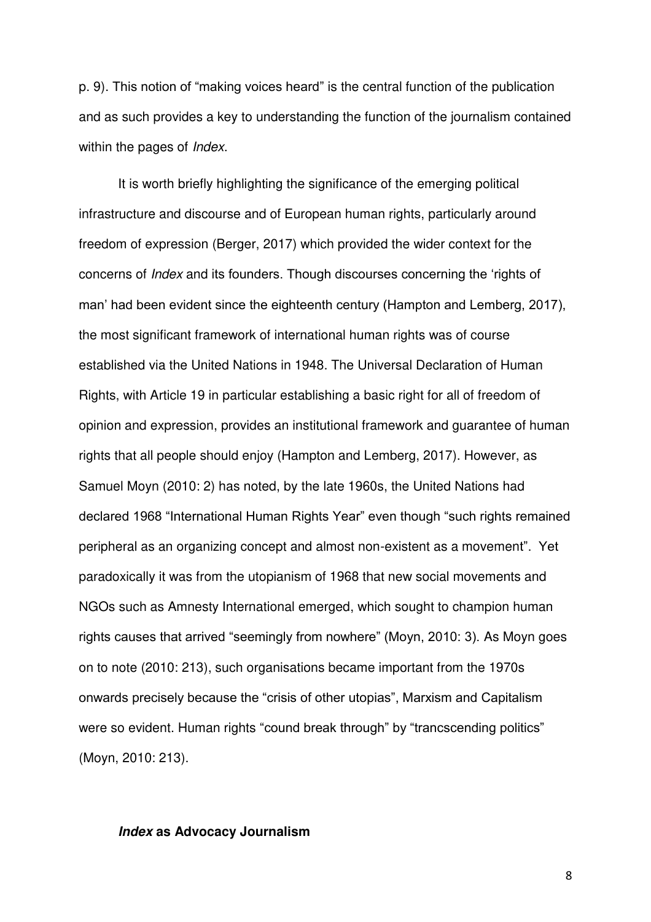p. 9). This notion of "making voices heard" is the central function of the publication and as such provides a key to understanding the function of the journalism contained within the pages of *Index*.

It is worth briefly highlighting the significance of the emerging political infrastructure and discourse and of European human rights, particularly around freedom of expression (Berger, 2017) which provided the wider context for the concerns of *Index* and its founders. Though discourses concerning the 'rights of man' had been evident since the eighteenth century (Hampton and Lemberg, 2017), the most significant framework of international human rights was of course established via the United Nations in 1948. The Universal Declaration of Human Rights, with Article 19 in particular establishing a basic right for all of freedom of opinion and expression, provides an institutional framework and guarantee of human rights that all people should enjoy (Hampton and Lemberg, 2017). However, as Samuel Moyn (2010: 2) has noted, by the late 1960s, the United Nations had declared 1968 "International Human Rights Year" even though "such rights remained peripheral as an organizing concept and almost non-existent as a movement". Yet paradoxically it was from the utopianism of 1968 that new social movements and NGOs such as Amnesty International emerged, which sought to champion human rights causes that arrived "seemingly from nowhere" (Moyn, 2010: 3). As Moyn goes on to note (2010: 213), such organisations became important from the 1970s onwards precisely because the "crisis of other utopias", Marxism and Capitalism were so evident. Human rights "cound break through" by "trancscending politics" (Moyn, 2010: 213).

## **Index as Advocacy Journalism**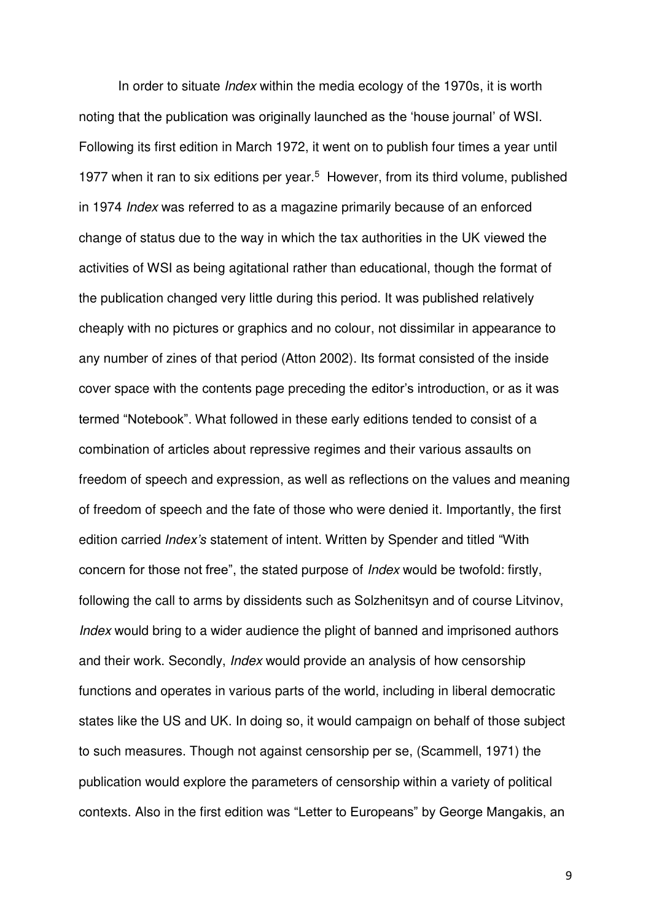In order to situate *Index* within the media ecology of the 1970s, it is worth noting that the publication was originally launched as the 'house journal' of WSI. Following its first edition in March 1972, it went on to publish four times a year until 1977 when it ran to six editions per year.<sup>5</sup> However, from its third volume, published in 1974 *Index* was referred to as a magazine primarily because of an enforced change of status due to the way in which the tax authorities in the UK viewed the activities of WSI as being agitational rather than educational, though the format of the publication changed very little during this period. It was published relatively cheaply with no pictures or graphics and no colour, not dissimilar in appearance to any number of zines of that period (Atton 2002). Its format consisted of the inside cover space with the contents page preceding the editor's introduction, or as it was termed "Notebook". What followed in these early editions tended to consist of a combination of articles about repressive regimes and their various assaults on freedom of speech and expression, as well as reflections on the values and meaning of freedom of speech and the fate of those who were denied it. Importantly, the first edition carried *Index's* statement of intent. Written by Spender and titled "With concern for those not free", the stated purpose of *Index* would be twofold: firstly, following the call to arms by dissidents such as Solzhenitsyn and of course Litvinov, *Index* would bring to a wider audience the plight of banned and imprisoned authors and their work. Secondly, *Index* would provide an analysis of how censorship functions and operates in various parts of the world, including in liberal democratic states like the US and UK. In doing so, it would campaign on behalf of those subject to such measures. Though not against censorship per se, (Scammell, 1971) the publication would explore the parameters of censorship within a variety of political contexts. Also in the first edition was "Letter to Europeans" by George Mangakis, an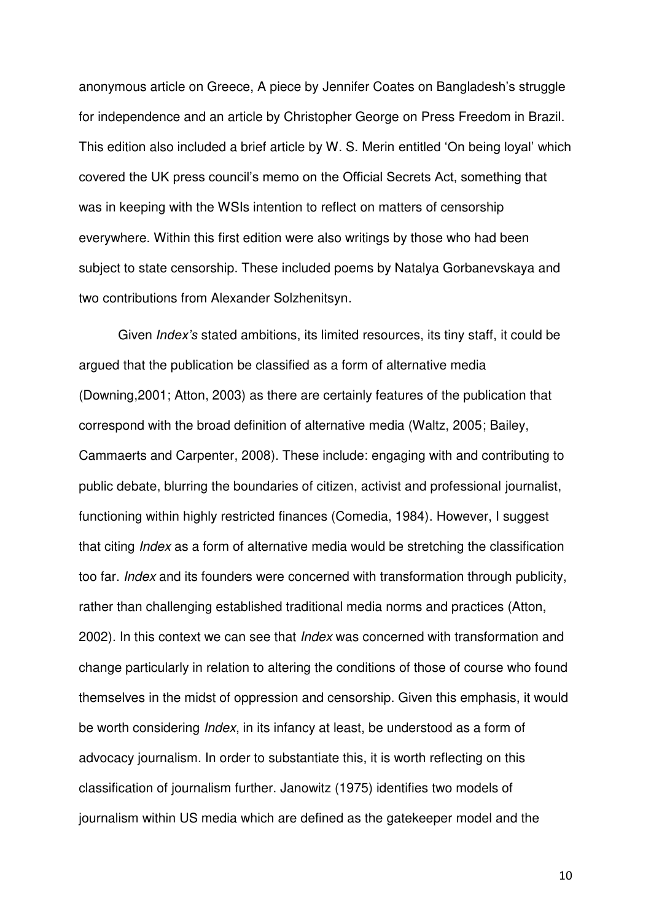anonymous article on Greece, A piece by Jennifer Coates on Bangladesh's struggle for independence and an article by Christopher George on Press Freedom in Brazil. This edition also included a brief article by W. S. Merin entitled 'On being loyal' which covered the UK press council's memo on the Official Secrets Act, something that was in keeping with the WSIs intention to reflect on matters of censorship everywhere. Within this first edition were also writings by those who had been subject to state censorship. These included poems by Natalya Gorbanevskaya and two contributions from Alexander Solzhenitsyn.

Given *Index's* stated ambitions, its limited resources, its tiny staff, it could be argued that the publication be classified as a form of alternative media (Downing,2001; Atton, 2003) as there are certainly features of the publication that correspond with the broad definition of alternative media (Waltz, 2005; Bailey, Cammaerts and Carpenter, 2008). These include: engaging with and contributing to public debate, blurring the boundaries of citizen, activist and professional journalist, functioning within highly restricted finances (Comedia, 1984). However, I suggest that citing *Index* as a form of alternative media would be stretching the classification too far. *Index* and its founders were concerned with transformation through publicity, rather than challenging established traditional media norms and practices (Atton, 2002). In this context we can see that *Index* was concerned with transformation and change particularly in relation to altering the conditions of those of course who found themselves in the midst of oppression and censorship. Given this emphasis, it would be worth considering *Index*, in its infancy at least, be understood as a form of advocacy journalism. In order to substantiate this, it is worth reflecting on this classification of journalism further. Janowitz (1975) identifies two models of journalism within US media which are defined as the gatekeeper model and the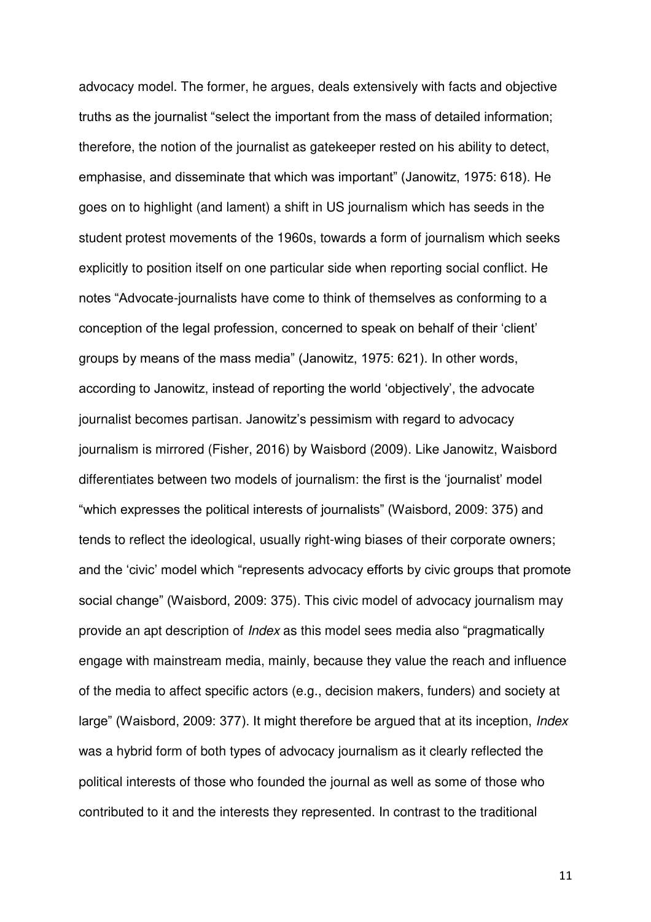advocacy model. The former, he argues, deals extensively with facts and objective truths as the journalist "select the important from the mass of detailed information; therefore, the notion of the journalist as gatekeeper rested on his ability to detect, emphasise, and disseminate that which was important" (Janowitz, 1975: 618). He goes on to highlight (and lament) a shift in US journalism which has seeds in the student protest movements of the 1960s, towards a form of journalism which seeks explicitly to position itself on one particular side when reporting social conflict. He notes "Advocate-journalists have come to think of themselves as conforming to a conception of the legal profession, concerned to speak on behalf of their 'client' groups by means of the mass media" (Janowitz, 1975: 621). In other words, according to Janowitz, instead of reporting the world 'objectively', the advocate journalist becomes partisan. Janowitz's pessimism with regard to advocacy journalism is mirrored (Fisher, 2016) by Waisbord (2009). Like Janowitz, Waisbord differentiates between two models of journalism: the first is the 'journalist' model "which expresses the political interests of journalists" (Waisbord, 2009: 375) and tends to reflect the ideological, usually right-wing biases of their corporate owners; and the 'civic' model which "represents advocacy efforts by civic groups that promote social change" (Waisbord, 2009: 375). This civic model of advocacy journalism may provide an apt description of *Index* as this model sees media also "pragmatically engage with mainstream media, mainly, because they value the reach and influence of the media to affect specific actors (e.g., decision makers, funders) and society at large" (Waisbord, 2009: 377). It might therefore be argued that at its inception, *Index* was a hybrid form of both types of advocacy journalism as it clearly reflected the political interests of those who founded the journal as well as some of those who contributed to it and the interests they represented. In contrast to the traditional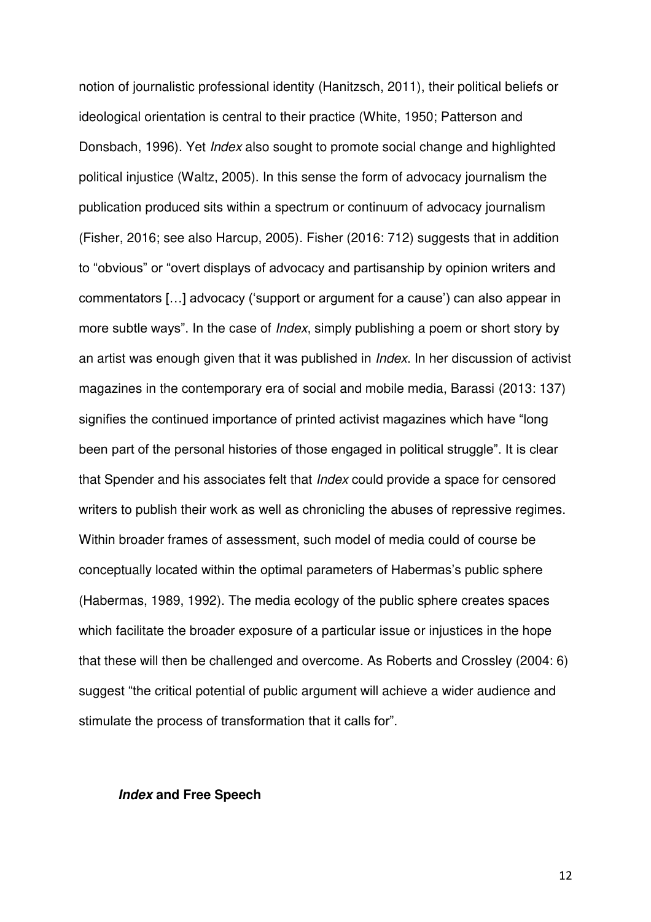notion of journalistic professional identity (Hanitzsch, 2011), their political beliefs or ideological orientation is central to their practice (White, 1950; Patterson and Donsbach, 1996). Yet *Index* also sought to promote social change and highlighted political injustice (Waltz, 2005). In this sense the form of advocacy journalism the publication produced sits within a spectrum or continuum of advocacy journalism (Fisher, 2016; see also Harcup, 2005). Fisher (2016: 712) suggests that in addition to "obvious" or "overt displays of advocacy and partisanship by opinion writers and commentators […] advocacy ('support or argument for a cause') can also appear in more subtle ways". In the case of *Index*, simply publishing a poem or short story by an artist was enough given that it was published in *Index*. In her discussion of activist magazines in the contemporary era of social and mobile media, Barassi (2013: 137) signifies the continued importance of printed activist magazines which have "long been part of the personal histories of those engaged in political struggle". It is clear that Spender and his associates felt that *Index* could provide a space for censored writers to publish their work as well as chronicling the abuses of repressive regimes. Within broader frames of assessment, such model of media could of course be conceptually located within the optimal parameters of Habermas's public sphere (Habermas, 1989, 1992). The media ecology of the public sphere creates spaces which facilitate the broader exposure of a particular issue or injustices in the hope that these will then be challenged and overcome. As Roberts and Crossley (2004: 6) suggest "the critical potential of public argument will achieve a wider audience and stimulate the process of transformation that it calls for".

#### **Index and Free Speech**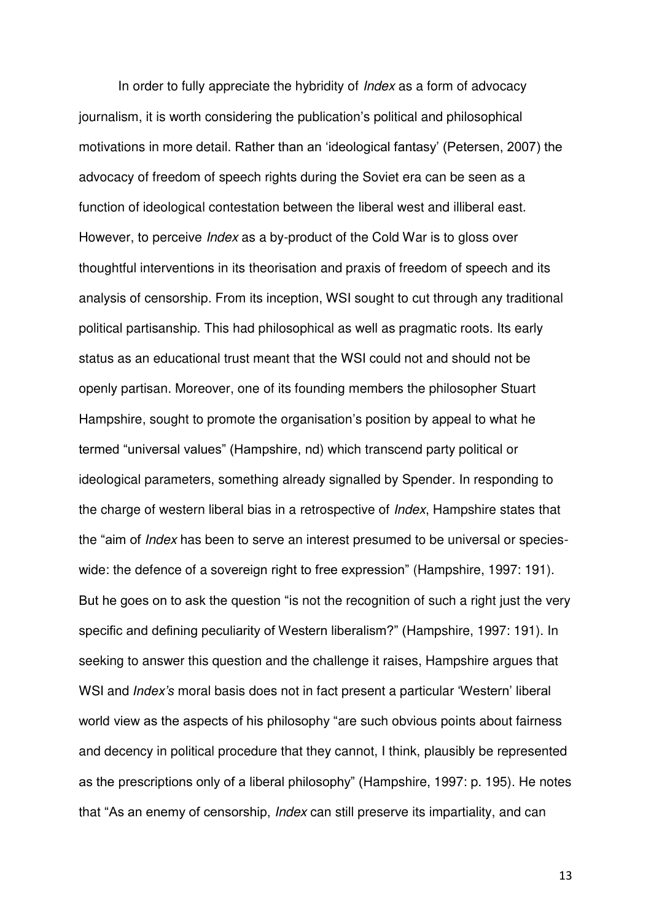In order to fully appreciate the hybridity of *Index* as a form of advocacy journalism, it is worth considering the publication's political and philosophical motivations in more detail. Rather than an 'ideological fantasy' (Petersen, 2007) the advocacy of freedom of speech rights during the Soviet era can be seen as a function of ideological contestation between the liberal west and illiberal east. However, to perceive *Index* as a by-product of the Cold War is to gloss over thoughtful interventions in its theorisation and praxis of freedom of speech and its analysis of censorship. From its inception, WSI sought to cut through any traditional political partisanship. This had philosophical as well as pragmatic roots. Its early status as an educational trust meant that the WSI could not and should not be openly partisan. Moreover, one of its founding members the philosopher Stuart Hampshire, sought to promote the organisation's position by appeal to what he termed "universal values" (Hampshire, nd) which transcend party political or ideological parameters, something already signalled by Spender. In responding to the charge of western liberal bias in a retrospective of *Index*, Hampshire states that the "aim of *Index* has been to serve an interest presumed to be universal or specieswide: the defence of a sovereign right to free expression" (Hampshire, 1997: 191). But he goes on to ask the question "is not the recognition of such a right just the very specific and defining peculiarity of Western liberalism?" (Hampshire, 1997: 191). In seeking to answer this question and the challenge it raises, Hampshire argues that WSI and *Index's* moral basis does not in fact present a particular 'Western' liberal world view as the aspects of his philosophy "are such obvious points about fairness and decency in political procedure that they cannot, I think, plausibly be represented as the prescriptions only of a liberal philosophy" (Hampshire, 1997: p. 195). He notes that "As an enemy of censorship, *Index* can still preserve its impartiality, and can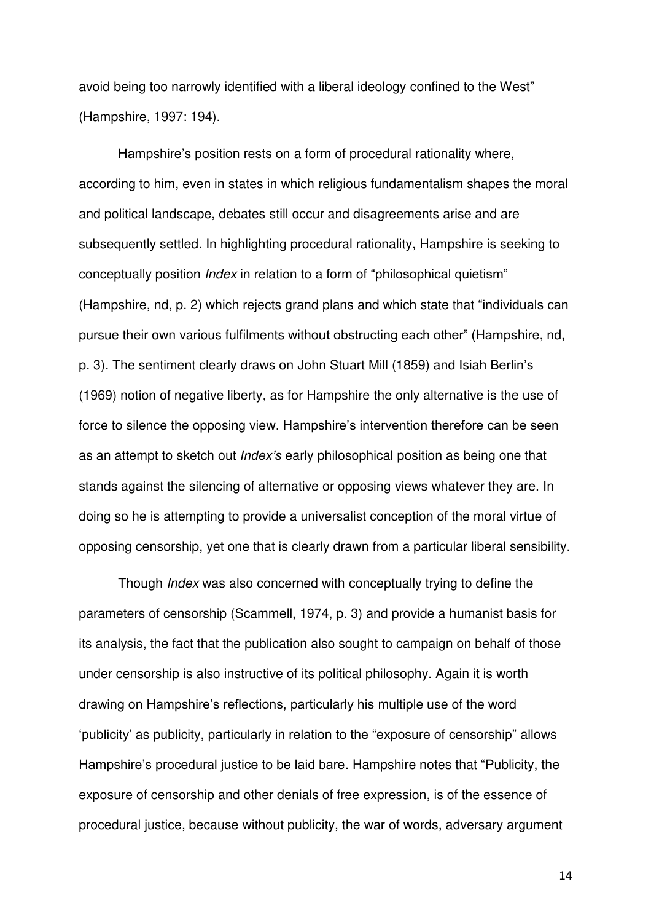avoid being too narrowly identified with a liberal ideology confined to the West" (Hampshire, 1997: 194).

Hampshire's position rests on a form of procedural rationality where, according to him, even in states in which religious fundamentalism shapes the moral and political landscape, debates still occur and disagreements arise and are subsequently settled. In highlighting procedural rationality, Hampshire is seeking to conceptually position *Index* in relation to a form of "philosophical quietism" (Hampshire, nd, p. 2) which rejects grand plans and which state that "individuals can pursue their own various fulfilments without obstructing each other" (Hampshire, nd, p. 3). The sentiment clearly draws on John Stuart Mill (1859) and Isiah Berlin's (1969) notion of negative liberty, as for Hampshire the only alternative is the use of force to silence the opposing view. Hampshire's intervention therefore can be seen as an attempt to sketch out *Index's* early philosophical position as being one that stands against the silencing of alternative or opposing views whatever they are. In doing so he is attempting to provide a universalist conception of the moral virtue of opposing censorship, yet one that is clearly drawn from a particular liberal sensibility.

Though *Index* was also concerned with conceptually trying to define the parameters of censorship (Scammell, 1974, p. 3) and provide a humanist basis for its analysis, the fact that the publication also sought to campaign on behalf of those under censorship is also instructive of its political philosophy. Again it is worth drawing on Hampshire's reflections, particularly his multiple use of the word 'publicity' as publicity, particularly in relation to the "exposure of censorship" allows Hampshire's procedural justice to be laid bare. Hampshire notes that "Publicity, the exposure of censorship and other denials of free expression, is of the essence of procedural justice, because without publicity, the war of words, adversary argument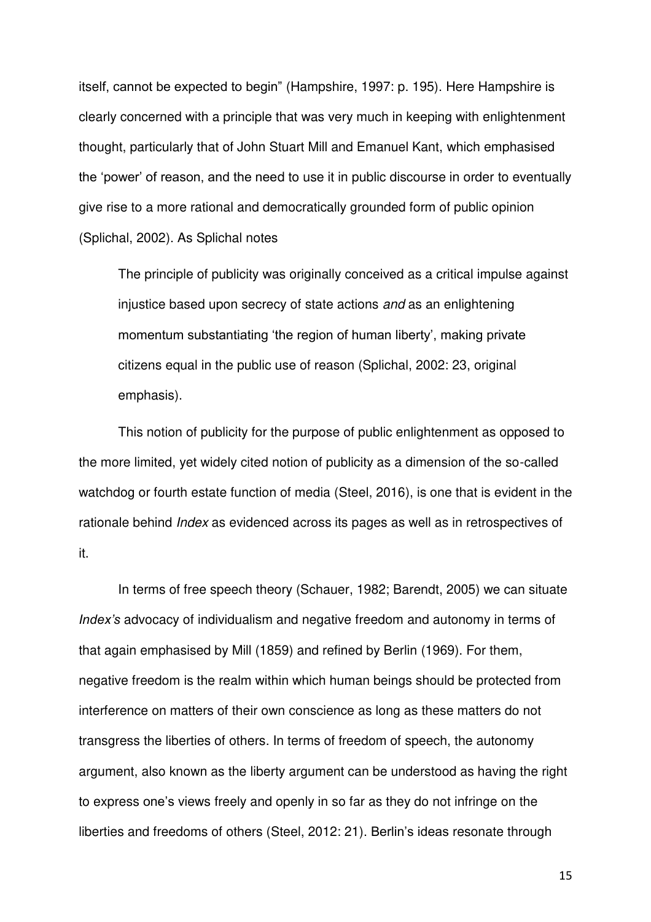itself, cannot be expected to begin" (Hampshire, 1997: p. 195). Here Hampshire is clearly concerned with a principle that was very much in keeping with enlightenment thought, particularly that of John Stuart Mill and Emanuel Kant, which emphasised the 'power' of reason, and the need to use it in public discourse in order to eventually give rise to a more rational and democratically grounded form of public opinion (Splichal, 2002). As Splichal notes

The principle of publicity was originally conceived as a critical impulse against injustice based upon secrecy of state actions *and* as an enlightening momentum substantiating 'the region of human liberty', making private citizens equal in the public use of reason (Splichal, 2002: 23, original emphasis).

This notion of publicity for the purpose of public enlightenment as opposed to the more limited, yet widely cited notion of publicity as a dimension of the so-called watchdog or fourth estate function of media (Steel, 2016), is one that is evident in the rationale behind *Index* as evidenced across its pages as well as in retrospectives of it.

In terms of free speech theory (Schauer, 1982; Barendt, 2005) we can situate *Index's* advocacy of individualism and negative freedom and autonomy in terms of that again emphasised by Mill (1859) and refined by Berlin (1969). For them, negative freedom is the realm within which human beings should be protected from interference on matters of their own conscience as long as these matters do not transgress the liberties of others. In terms of freedom of speech, the autonomy argument, also known as the liberty argument can be understood as having the right to express one's views freely and openly in so far as they do not infringe on the liberties and freedoms of others (Steel, 2012: 21). Berlin's ideas resonate through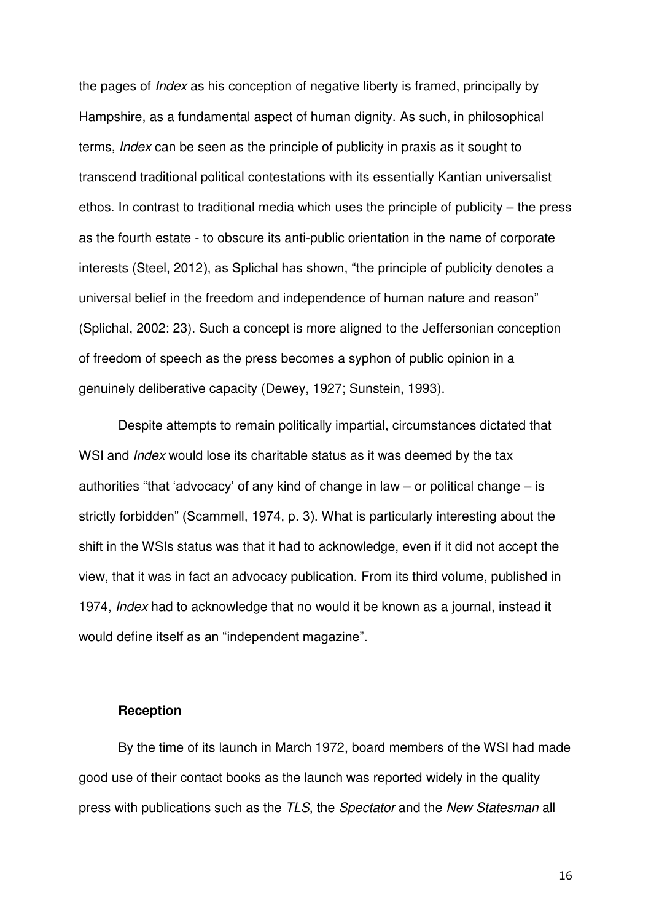the pages of *Index* as his conception of negative liberty is framed, principally by Hampshire, as a fundamental aspect of human dignity. As such, in philosophical terms, *Index* can be seen as the principle of publicity in praxis as it sought to transcend traditional political contestations with its essentially Kantian universalist ethos. In contrast to traditional media which uses the principle of publicity – the press as the fourth estate - to obscure its anti-public orientation in the name of corporate interests (Steel, 2012), as Splichal has shown, "the principle of publicity denotes a universal belief in the freedom and independence of human nature and reason" (Splichal, 2002: 23). Such a concept is more aligned to the Jeffersonian conception of freedom of speech as the press becomes a syphon of public opinion in a genuinely deliberative capacity (Dewey, 1927; Sunstein, 1993).

Despite attempts to remain politically impartial, circumstances dictated that WSI and *Index* would lose its charitable status as it was deemed by the tax authorities "that 'advocacy' of any kind of change in law – or political change – is strictly forbidden" (Scammell, 1974, p. 3). What is particularly interesting about the shift in the WSIs status was that it had to acknowledge, even if it did not accept the view, that it was in fact an advocacy publication. From its third volume, published in 1974, *Index* had to acknowledge that no would it be known as a journal, instead it would define itself as an "independent magazine".

## **Reception**

By the time of its launch in March 1972, board members of the WSI had made good use of their contact books as the launch was reported widely in the quality press with publications such as the *TLS*, the *Spectator* and the *New Statesman* all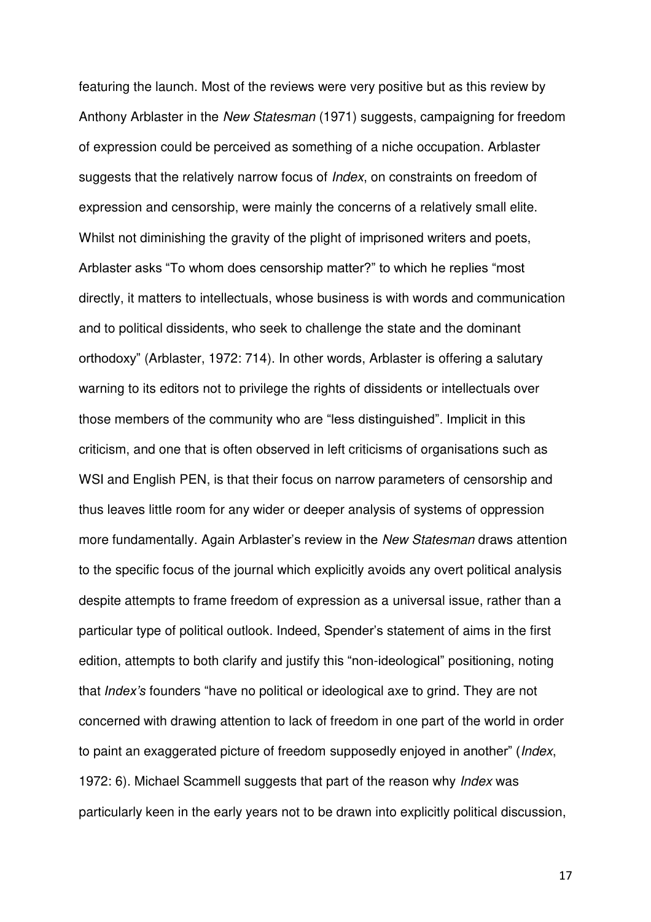featuring the launch. Most of the reviews were very positive but as this review by Anthony Arblaster in the *New Statesman* (1971) suggests, campaigning for freedom of expression could be perceived as something of a niche occupation. Arblaster suggests that the relatively narrow focus of *Index*, on constraints on freedom of expression and censorship, were mainly the concerns of a relatively small elite. Whilst not diminishing the gravity of the plight of imprisoned writers and poets, Arblaster asks "To whom does censorship matter?" to which he replies "most directly, it matters to intellectuals, whose business is with words and communication and to political dissidents, who seek to challenge the state and the dominant orthodoxy" (Arblaster, 1972: 714). In other words, Arblaster is offering a salutary warning to its editors not to privilege the rights of dissidents or intellectuals over those members of the community who are "less distinguished". Implicit in this criticism, and one that is often observed in left criticisms of organisations such as WSI and English PEN, is that their focus on narrow parameters of censorship and thus leaves little room for any wider or deeper analysis of systems of oppression more fundamentally. Again Arblaster's review in the *New Statesman* draws attention to the specific focus of the journal which explicitly avoids any overt political analysis despite attempts to frame freedom of expression as a universal issue, rather than a particular type of political outlook. Indeed, Spender's statement of aims in the first edition, attempts to both clarify and justify this "non-ideological" positioning, noting that *Index's* founders "have no political or ideological axe to grind. They are not concerned with drawing attention to lack of freedom in one part of the world in order to paint an exaggerated picture of freedom supposedly enjoyed in another" (*Index*, 1972: 6). Michael Scammell suggests that part of the reason why *Index* was particularly keen in the early years not to be drawn into explicitly political discussion,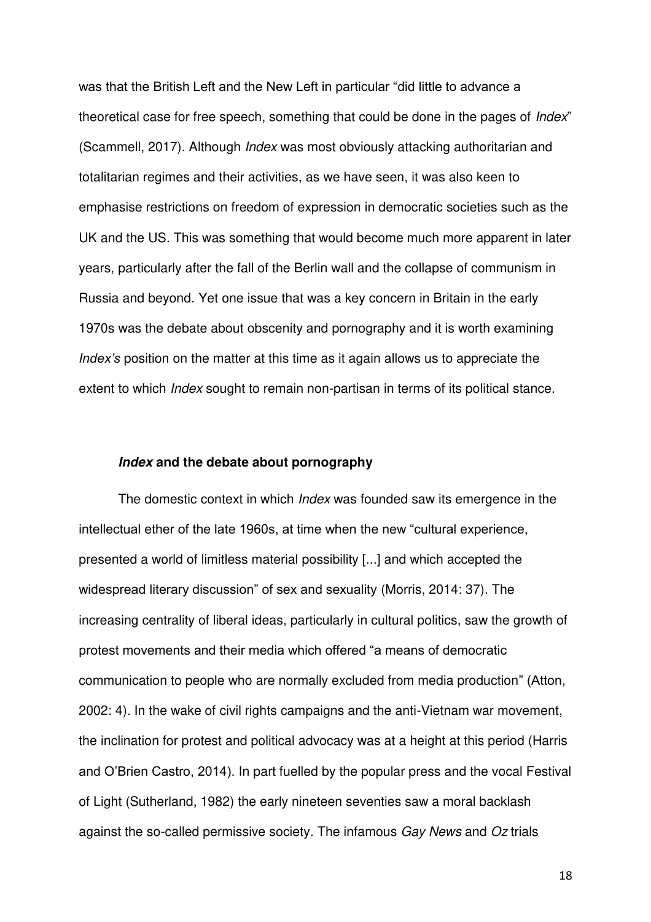was that the British Left and the New Left in particular "did little to advance a theoretical case for free speech, something that could be done in the pages of *Index*" (Scammell, 2017). Although *Index* was most obviously attacking authoritarian and totalitarian regimes and their activities, as we have seen, it was also keen to emphasise restrictions on freedom of expression in democratic societies such as the UK and the US. This was something that would become much more apparent in later years, particularly after the fall of the Berlin wall and the collapse of communism in Russia and beyond. Yet one issue that was a key concern in Britain in the early 1970s was the debate about obscenity and pornography and it is worth examining *Index's* position on the matter at this time as it again allows us to appreciate the extent to which *Index* sought to remain non-partisan in terms of its political stance.

# **Index and the debate about pornography**

The domestic context in which *Index* was founded saw its emergence in the intellectual ether of the late 1960s, at time when the new "cultural experience, presented a world of limitless material possibility [...] and which accepted the widespread literary discussion" of sex and sexuality (Morris, 2014: 37). The increasing centrality of liberal ideas, particularly in cultural politics, saw the growth of protest movements and their media which offered "a means of democratic communication to people who are normally excluded from media production" (Atton, 2002: 4). In the wake of civil rights campaigns and the anti-Vietnam war movement, the inclination for protest and political advocacy was at a height at this period (Harris and O'Brien Castro, 2014). In part fuelled by the popular press and the vocal Festival of Light (Sutherland, 1982) the early nineteen seventies saw a moral backlash against the so-called permissive society. The infamous *Gay News* and *Oz* trials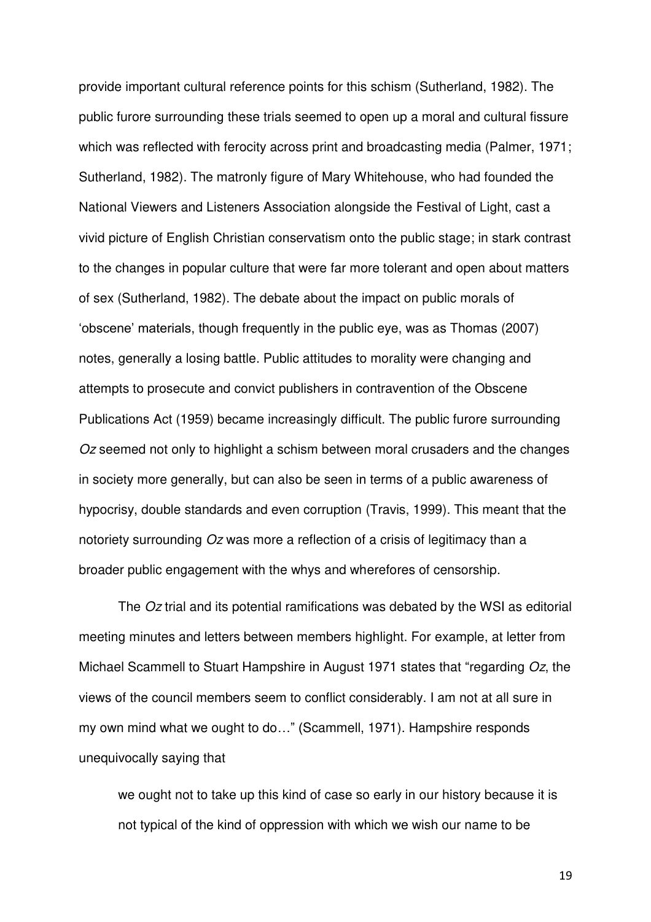provide important cultural reference points for this schism (Sutherland, 1982). The public furore surrounding these trials seemed to open up a moral and cultural fissure which was reflected with ferocity across print and broadcasting media (Palmer, 1971; Sutherland, 1982). The matronly figure of Mary Whitehouse, who had founded the National Viewers and Listeners Association alongside the Festival of Light, cast a vivid picture of English Christian conservatism onto the public stage; in stark contrast to the changes in popular culture that were far more tolerant and open about matters of sex (Sutherland, 1982). The debate about the impact on public morals of 'obscene' materials, though frequently in the public eye, was as Thomas (2007) notes, generally a losing battle. Public attitudes to morality were changing and attempts to prosecute and convict publishers in contravention of the Obscene Publications Act (1959) became increasingly difficult. The public furore surrounding *Oz* seemed not only to highlight a schism between moral crusaders and the changes in society more generally, but can also be seen in terms of a public awareness of hypocrisy, double standards and even corruption (Travis, 1999). This meant that the notoriety surrounding *Oz* was more a reflection of a crisis of legitimacy than a broader public engagement with the whys and wherefores of censorship.

The *Oz* trial and its potential ramifications was debated by the WSI as editorial meeting minutes and letters between members highlight. For example, at letter from Michael Scammell to Stuart Hampshire in August 1971 states that "regarding *Oz*, the views of the council members seem to conflict considerably. I am not at all sure in my own mind what we ought to do…" (Scammell, 1971). Hampshire responds unequivocally saying that

we ought not to take up this kind of case so early in our history because it is not typical of the kind of oppression with which we wish our name to be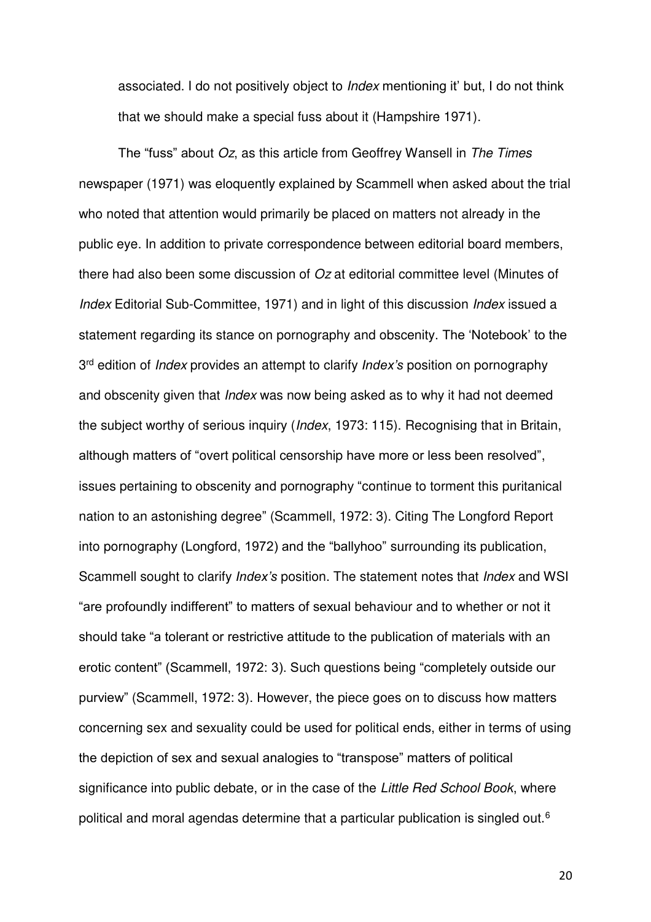associated. I do not positively object to *Index* mentioning it' but, I do not think that we should make a special fuss about it (Hampshire 1971).

The "fuss" about *Oz*, as this article from Geoffrey Wansell in *The Times* newspaper (1971) was eloquently explained by Scammell when asked about the trial who noted that attention would primarily be placed on matters not already in the public eye. In addition to private correspondence between editorial board members, there had also been some discussion of *Oz* at editorial committee level (Minutes of *Index* Editorial Sub-Committee, 1971) and in light of this discussion *Index* issued a statement regarding its stance on pornography and obscenity. The 'Notebook' to the 3 rd edition of *Index* provides an attempt to clarify *Index's* position on pornography and obscenity given that *Index* was now being asked as to why it had not deemed the subject worthy of serious inquiry (*Index*, 1973: 115). Recognising that in Britain, although matters of "overt political censorship have more or less been resolved", issues pertaining to obscenity and pornography "continue to torment this puritanical nation to an astonishing degree" (Scammell, 1972: 3). Citing The Longford Report into pornography (Longford, 1972) and the "ballyhoo" surrounding its publication, Scammell sought to clarify *Index's* position. The statement notes that *Index* and WSI "are profoundly indifferent" to matters of sexual behaviour and to whether or not it should take "a tolerant or restrictive attitude to the publication of materials with an erotic content" (Scammell, 1972: 3). Such questions being "completely outside our purview" (Scammell, 1972: 3). However, the piece goes on to discuss how matters concerning sex and sexuality could be used for political ends, either in terms of using the depiction of sex and sexual analogies to "transpose" matters of political significance into public debate, or in the case of the *Little Red School Book*, where political and moral agendas determine that a particular publication is singled out.6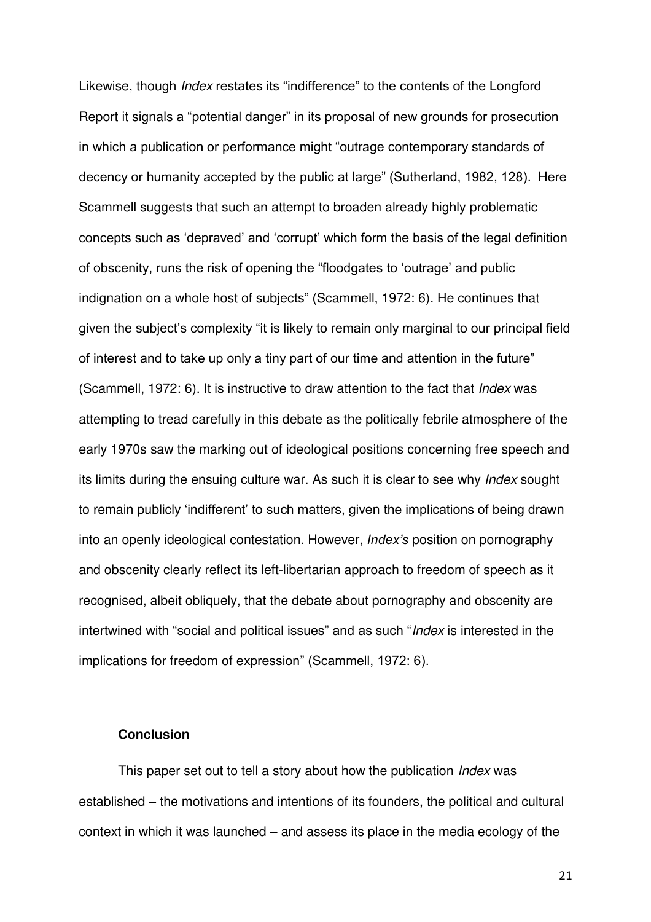Likewise, though *Index* restates its "indifference" to the contents of the Longford Report it signals a "potential danger" in its proposal of new grounds for prosecution in which a publication or performance might "outrage contemporary standards of decency or humanity accepted by the public at large" (Sutherland, 1982, 128). Here Scammell suggests that such an attempt to broaden already highly problematic concepts such as 'depraved' and 'corrupt' which form the basis of the legal definition of obscenity, runs the risk of opening the "floodgates to 'outrage' and public indignation on a whole host of subjects" (Scammell, 1972: 6). He continues that given the subject's complexity "it is likely to remain only marginal to our principal field of interest and to take up only a tiny part of our time and attention in the future" (Scammell, 1972: 6). It is instructive to draw attention to the fact that *Index* was attempting to tread carefully in this debate as the politically febrile atmosphere of the early 1970s saw the marking out of ideological positions concerning free speech and its limits during the ensuing culture war. As such it is clear to see why *Index* sought to remain publicly 'indifferent' to such matters, given the implications of being drawn into an openly ideological contestation. However, *Index's* position on pornography and obscenity clearly reflect its left-libertarian approach to freedom of speech as it recognised, albeit obliquely, that the debate about pornography and obscenity are intertwined with "social and political issues" and as such "*Index* is interested in the implications for freedom of expression" (Scammell, 1972: 6).

# **Conclusion**

This paper set out to tell a story about how the publication *Index* was established – the motivations and intentions of its founders, the political and cultural context in which it was launched – and assess its place in the media ecology of the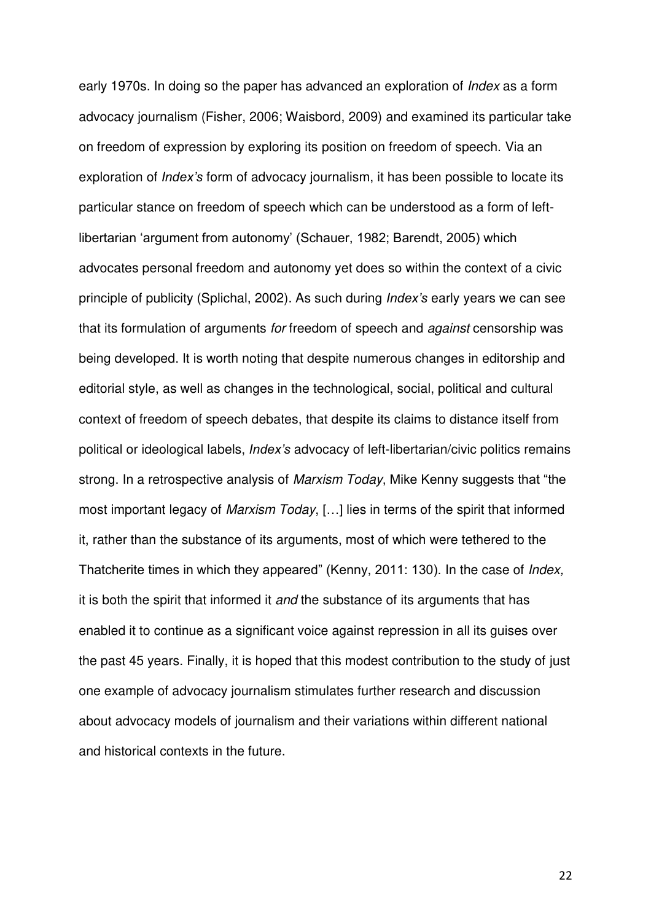early 1970s. In doing so the paper has advanced an exploration of *Index* as a form advocacy journalism (Fisher, 2006; Waisbord, 2009) and examined its particular take on freedom of expression by exploring its position on freedom of speech. Via an exploration of *Index's* form of advocacy journalism, it has been possible to locate its particular stance on freedom of speech which can be understood as a form of leftlibertarian 'argument from autonomy' (Schauer, 1982; Barendt, 2005) which advocates personal freedom and autonomy yet does so within the context of a civic principle of publicity (Splichal, 2002). As such during *Index's* early years we can see that its formulation of arguments *for* freedom of speech and *against* censorship was being developed. It is worth noting that despite numerous changes in editorship and editorial style, as well as changes in the technological, social, political and cultural context of freedom of speech debates, that despite its claims to distance itself from political or ideological labels, *Index's* advocacy of left-libertarian/civic politics remains strong. In a retrospective analysis of *Marxism Today*, Mike Kenny suggests that "the most important legacy of *Marxism Today*, […] lies in terms of the spirit that informed it, rather than the substance of its arguments, most of which were tethered to the Thatcherite times in which they appeared" (Kenny, 2011: 130). In the case of *Index,* it is both the spirit that informed it *and* the substance of its arguments that has enabled it to continue as a significant voice against repression in all its guises over the past 45 years. Finally, it is hoped that this modest contribution to the study of just one example of advocacy journalism stimulates further research and discussion about advocacy models of journalism and their variations within different national and historical contexts in the future.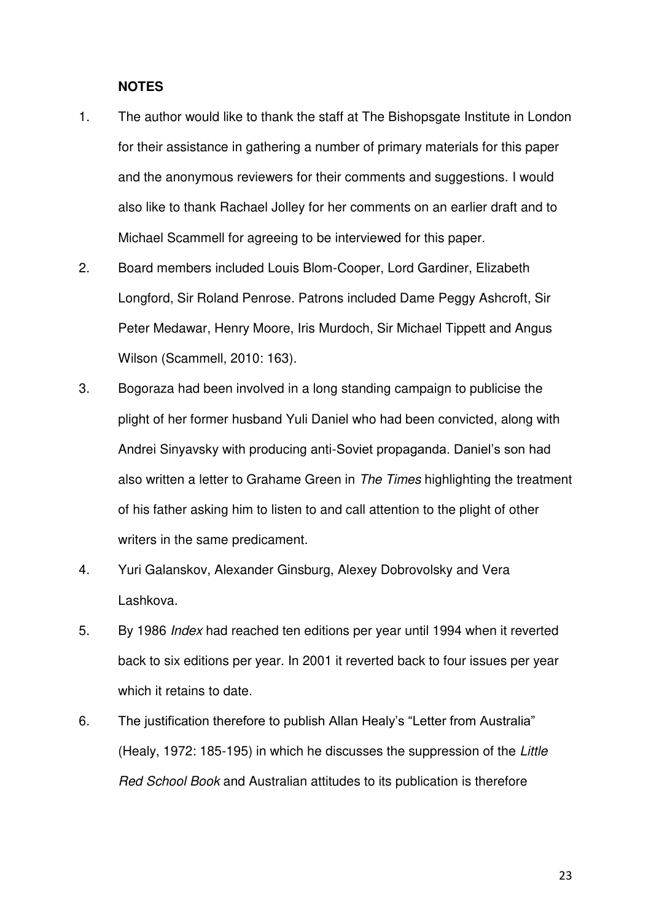# **NOTES**

- 1. The author would like to thank the staff at The Bishopsgate Institute in London for their assistance in gathering a number of primary materials for this paper and the anonymous reviewers for their comments and suggestions. I would also like to thank Rachael Jolley for her comments on an earlier draft and to Michael Scammell for agreeing to be interviewed for this paper.
- 2. Board members included Louis Blom-Cooper, Lord Gardiner, Elizabeth Longford, Sir Roland Penrose. Patrons included Dame Peggy Ashcroft, Sir Peter Medawar, Henry Moore, Iris Murdoch, Sir Michael Tippett and Angus Wilson (Scammell, 2010: 163).
- 3. Bogoraza had been involved in a long standing campaign to publicise the plight of her former husband Yuli Daniel who had been convicted, along with Andrei Sinyavsky with producing anti-Soviet propaganda. Daniel's son had also written a letter to Grahame Green in *The Times* highlighting the treatment of his father asking him to listen to and call attention to the plight of other writers in the same predicament.
- 4. Yuri Galanskov, Alexander Ginsburg, Alexey Dobrovolsky and Vera Lashkova.
- 5. By 1986 *Index* had reached ten editions per year until 1994 when it reverted back to six editions per year. In 2001 it reverted back to four issues per year which it retains to date.
- 6. The justification therefore to publish Allan Healy's "Letter from Australia" (Healy, 1972: 185-195) in which he discusses the suppression of the *Little Red School Book* and Australian attitudes to its publication is therefore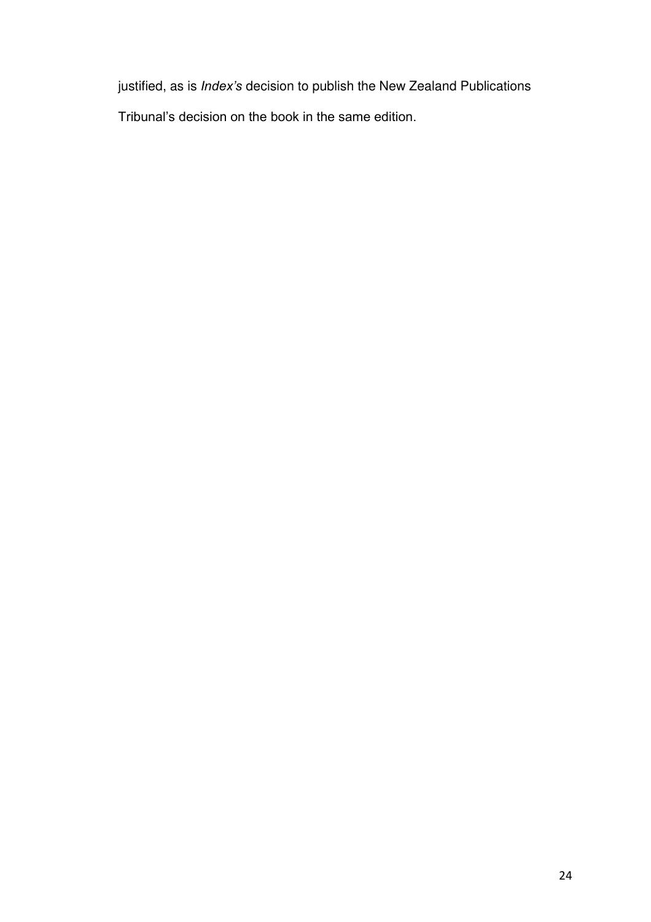justified, as is *Index's* decision to publish the New Zealand Publications

Tribunal's decision on the book in the same edition.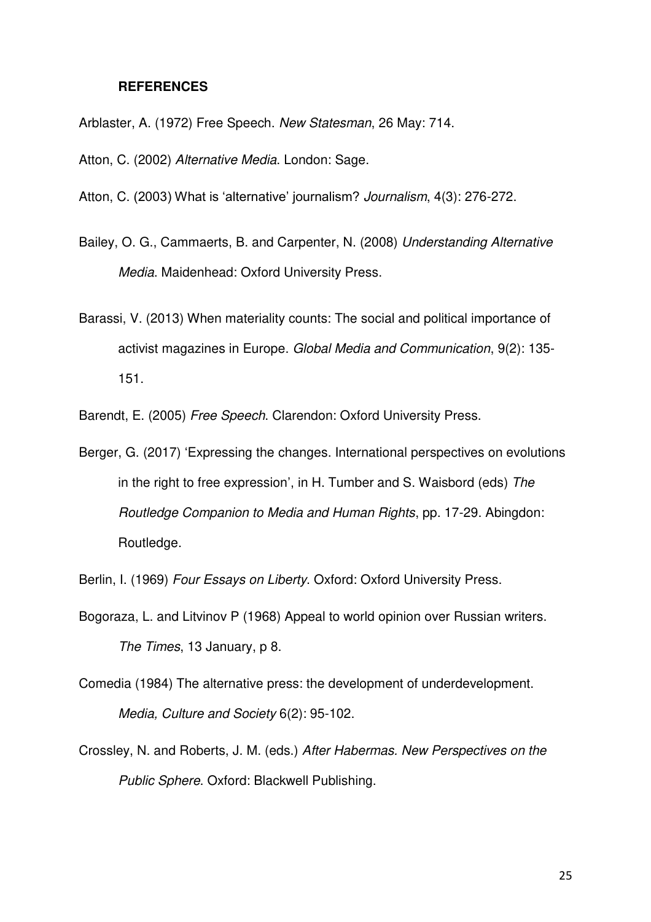## **REFERENCES**

Arblaster, A. (1972) Free Speech. *New Statesman*, 26 May: 714.

Atton, C. (2002) *Alternative Media*. London: Sage.

- Atton, C. (2003) What is 'alternative' journalism? *Journalism*, 4(3): 276-272.
- Bailey, O. G., Cammaerts, B. and Carpenter, N. (2008) *Understanding Alternative Media*. Maidenhead: Oxford University Press.
- Barassi, V. (2013) When materiality counts: The social and political importance of activist magazines in Europe. *Global Media and Communication*, 9(2): 135- 151.

Barendt, E. (2005) *Free Speech*. Clarendon: Oxford University Press.

Berger, G. (2017) 'Expressing the changes. International perspectives on evolutions in the right to free expression', in H. Tumber and S. Waisbord (eds) *The Routledge Companion to Media and Human Rights*, pp. 17-29. Abingdon: Routledge.

Berlin, I. (1969) *Four Essays on Liberty*. Oxford: Oxford University Press.

- Bogoraza, L. and Litvinov P (1968) Appeal to world opinion over Russian writers. *The Times*, 13 January, p 8.
- Comedia (1984) The alternative press: the development of underdevelopment. *Media, Culture and Society* 6(2): 95-102.
- Crossley, N. and Roberts, J. M. (eds.) *After Habermas. New Perspectives on the Public Sphere*. Oxford: Blackwell Publishing.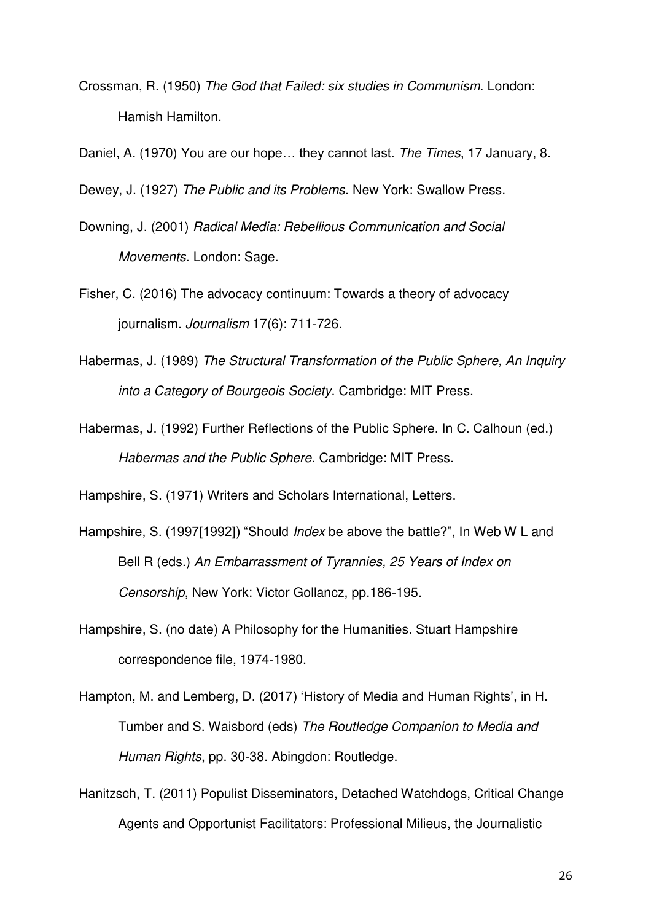Crossman, R. (1950) *The God that Failed: six studies in Communism*. London: Hamish Hamilton.

Daniel, A. (1970) You are our hope… they cannot last. *The Times*, 17 January, 8.

Dewey, J. (1927) *The Public and its Problems*. New York: Swallow Press.

- Downing, J. (2001) *Radical Media: Rebellious Communication and Social Movements*. London: Sage.
- Fisher, C. (2016) The advocacy continuum: Towards a theory of advocacy journalism. *Journalism* 17(6): 711-726.
- Habermas, J. (1989) *The Structural Transformation of the Public Sphere, An Inquiry into a Category of Bourgeois Society*. Cambridge: MIT Press.
- Habermas, J. (1992) Further Reflections of the Public Sphere. In C. Calhoun (ed.) *Habermas and the Public Sphere*. Cambridge: MIT Press.

Hampshire, S. (1971) Writers and Scholars International, Letters.

- Hampshire, S. (1997[1992]) "Should *Index* be above the battle?", In Web W L and Bell R (eds.) *An Embarrassment of Tyrannies, 25 Years of Index on Censorship*, New York: Victor Gollancz, pp.186-195.
- Hampshire, S. (no date) A Philosophy for the Humanities. Stuart Hampshire correspondence file, 1974-1980.
- Hampton, M. and Lemberg, D. (2017) 'History of Media and Human Rights', in H. Tumber and S. Waisbord (eds) *The Routledge Companion to Media and Human Rights*, pp. 30-38. Abingdon: Routledge.
- Hanitzsch, T. (2011) Populist Disseminators, Detached Watchdogs, Critical Change Agents and Opportunist Facilitators: Professional Milieus, the Journalistic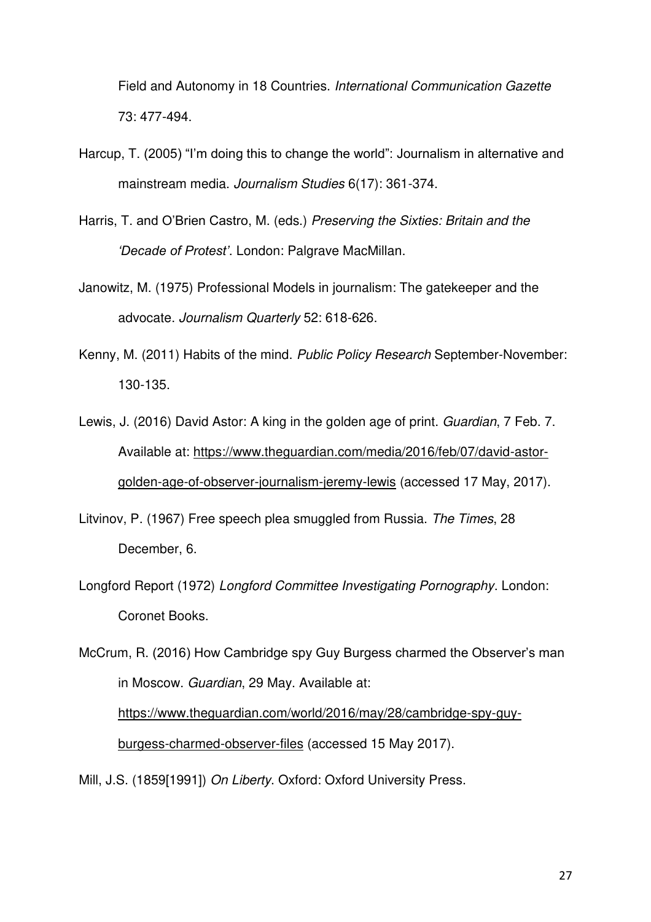Field and Autonomy in 18 Countries. *International Communication Gazette* 73: 477-494.

- Harcup, T. (2005) "I'm doing this to change the world": Journalism in alternative and mainstream media. *Journalism Studies* 6(17): 361-374.
- Harris, T. and O'Brien Castro, M. (eds.) *Preserving the Sixties: Britain and the 'Decade of Protest'*. London: Palgrave MacMillan.
- Janowitz, M. (1975) Professional Models in journalism: The gatekeeper and the advocate. *Journalism Quarterly* 52: 618-626.
- Kenny, M. (2011) Habits of the mind. *Public Policy Research* September-November: 130-135.
- Lewis, J. (2016) David Astor: A king in the golden age of print. *Guardian*, 7 Feb. 7. Available at: [https://www.theguardian.com/media/2016/feb/07/david-astor](https://www.theguardian.com/media/2016/feb/07/david-astor-golden-age-of-observer-journalism-jeremy-lewis)[golden-age-of-observer-journalism-jeremy-lewis](https://www.theguardian.com/media/2016/feb/07/david-astor-golden-age-of-observer-journalism-jeremy-lewis) (accessed 17 May, 2017).
- Litvinov, P. (1967) Free speech plea smuggled from Russia. *The Times*, 28 December, 6.
- Longford Report (1972) *Longford Committee Investigating Pornography*. London: Coronet Books.

McCrum, R. (2016) How Cambridge spy Guy Burgess charmed the Observer's man in Moscow. *Guardian*, 29 May. Available at: [https://www.theguardian.com/world/2016/may/28/cambridge-spy-guy](https://www.theguardian.com/world/2016/may/28/cambridge-spy-guy-burgess-charmed-observer-files)[burgess-charmed-observer-files](https://www.theguardian.com/world/2016/may/28/cambridge-spy-guy-burgess-charmed-observer-files) (accessed 15 May 2017).

Mill, J.S. (1859[1991]) *On Liberty*. Oxford: Oxford University Press.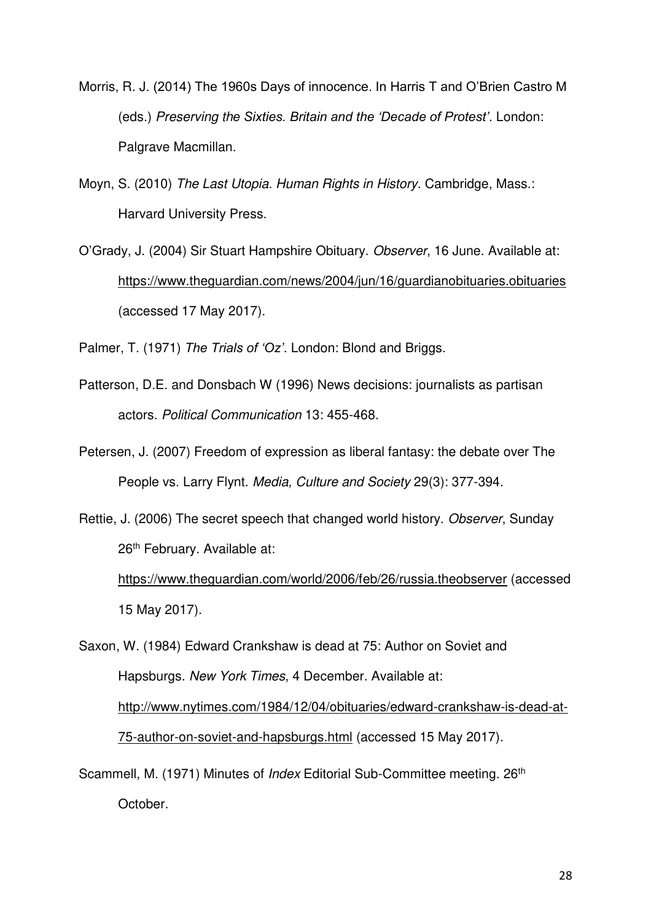- Morris, R. J. (2014) The 1960s Days of innocence. In Harris T and O'Brien Castro M (eds.) *Preserving the Sixties. Britain and the 'Decade of Protest'*. London: Palgrave Macmillan.
- Moyn, S. (2010) *The Last Utopia. Human Rights in History*. Cambridge, Mass.: Harvard University Press.
- O'Grady, J. (2004) Sir Stuart Hampshire Obituary. *Observer*, 16 June. Available at: <https://www.theguardian.com/news/2004/jun/16/guardianobituaries.obituaries> (accessed 17 May 2017).

Palmer, T. (1971) *The Trials of 'Oz'*. London: Blond and Briggs.

- Patterson, D.E. and Donsbach W (1996) News decisions: journalists as partisan actors. *Political Communication* 13: 455-468.
- Petersen, J. (2007) Freedom of expression as liberal fantasy: the debate over The People vs. Larry Flynt. *Media, Culture and Society* 29(3): 377-394.

Rettie, J. (2006) The secret speech that changed world history. *Observer*, Sunday 26<sup>th</sup> February. Available at:

<https://www.theguardian.com/world/2006/feb/26/russia.theobserver>(accessed 15 May 2017).

Saxon, W. (1984) Edward Crankshaw is dead at 75: Author on Soviet and Hapsburgs. *New York Times*, 4 December. Available at: [http://www.nytimes.com/1984/12/04/obituaries/edward-crankshaw-is-dead-at-](http://www.nytimes.com/1984/12/04/obituaries/edward-crankshaw-is-dead-at-75-author-on-soviet-and-hapsburgs.html)[75-author-on-soviet-and-hapsburgs.html](http://www.nytimes.com/1984/12/04/obituaries/edward-crankshaw-is-dead-at-75-author-on-soviet-and-hapsburgs.html) (accessed 15 May 2017).

Scammell, M. (1971) Minutes of *Index* Editorial Sub-Committee meeting. 26<sup>th</sup> October.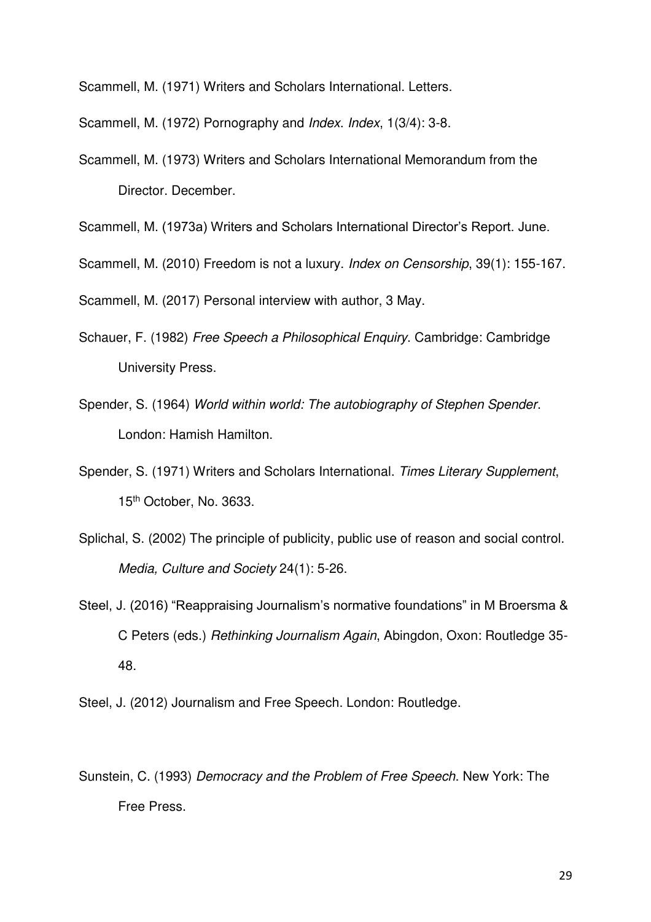Scammell, M. (1971) Writers and Scholars International. Letters.

Scammell, M. (1972) Pornography and *Index*. *Index*, 1(3/4): 3-8.

Scammell, M. (1973) Writers and Scholars International Memorandum from the Director. December.

Scammell, M. (1973a) Writers and Scholars International Director's Report. June.

Scammell, M. (2010) Freedom is not a luxury. *Index on Censorship*, 39(1): 155-167.

Scammell, M. (2017) Personal interview with author, 3 May.

- Schauer, F. (1982) *Free Speech a Philosophical Enquiry*. Cambridge: Cambridge University Press.
- Spender, S. (1964) *World within world: The autobiography of Stephen Spender*. London: Hamish Hamilton.
- Spender, S. (1971) Writers and Scholars International. *Times Literary Supplement*, 15th October, No. 3633.
- Splichal, S. (2002) The principle of publicity, public use of reason and social control. *Media, Culture and Society* 24(1): 5-26.
- Steel, J. (2016) "Reappraising Journalism's normative foundations" in M Broersma & C Peters (eds.) *Rethinking Journalism Again*, Abingdon, Oxon: Routledge 35- 48.
- Steel, J. (2012) Journalism and Free Speech. London: Routledge.
- Sunstein, C. (1993) *Democracy and the Problem of Free Speech*. New York: The Free Press.